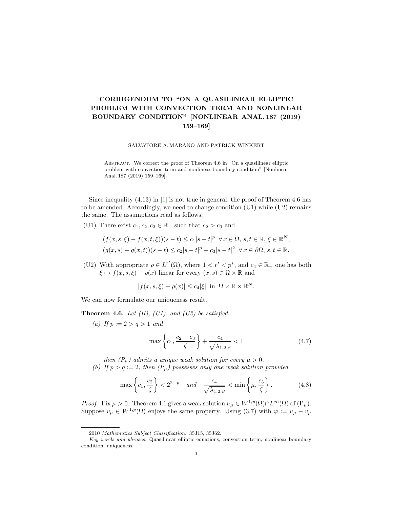## CORRIGENDUM TO "ON A QUASILINEAR ELLIPTIC PROBLEM WITH CONVECTION TERM AND NONLINEAR BOUNDARY CONDITION" [NONLINEAR ANAL. 187 (2019) 159–169]

## SALVATORE A. MARANO AND PATRICK WINKERT

ABSTRACT. We correct the proof of Theorem 4.6 in "On a quasilinear elliptic problem with convection term and nonlinear boundary condition" [Nonlinear Anal. 187 (2019) 159–169].

Since inequality  $(4.13)$  in [\[1\]](#page-3-0) is not true in general, the proof of Theorem 4.6 has to be amended. Accordingly, we need to change condition (U1) while (U2) remains the same. The assumptions read as follows.

(U1) There exist  $c_1, c_2, c_3 \in \mathbb{R}_+$  such that  $c_2 > c_3$  and

$$
(f(x, s, \xi) - f(x, t, \xi))(s - t) \le c_1|s - t|^p \quad \forall x \in \Omega, s, t \in \mathbb{R}, \xi \in \mathbb{R}^N,
$$
  

$$
(g(x, s) - g(x, t))(s - t) \le c_2|s - t|^p - c_3|s - t|^2 \quad \forall x \in \partial\Omega, s, t \in \mathbb{R}.
$$

(U2) With appropriate  $\rho \in L^{r'}(\Omega)$ , where  $1 < r' < p^*$ , and  $c_4 \in \mathbb{R}_+$  one has both  $\xi \mapsto f(x, s, \xi) - \rho(x)$  linear for every  $(x, s) \in \Omega \times \mathbb{R}$  and

$$
|f(x, s, \xi) - \rho(x)| \le c_4 |\xi| \text{ in } \Omega \times \mathbb{R} \times \mathbb{R}^N.
$$

We can now formulate our uniqueness result.

**Theorem 4.6.** Let  $(H)$ ,  $(U1)$ , and  $(U2)$  be satisfied.

(a) If  $p := 2 > q > 1$  and

<span id="page-0-1"></span><span id="page-0-0"></span>
$$
\max\left\{c_1, \frac{c_2 - c_3}{\zeta}\right\} + \frac{c_4}{\sqrt{\lambda_{1,2,\beta}}} < 1\tag{4.7}
$$

then  $(P_\mu)$  admits a unique weak solution for every  $\mu > 0$ .

(b) If  $p > q := 2$ , then  $(P_{\mu})$  possesses only one weak solution provided

$$
\max\left\{c_1, \frac{c_2}{\zeta}\right\} < 2^{2-p} \quad \text{and} \quad \frac{c_4}{\sqrt{\lambda_{1,2,\beta}}} < \min\left\{\mu, \frac{c_3}{\zeta}\right\}.\tag{4.8}
$$

*Proof.* Fix  $\mu > 0$ . Theorem 4.1 gives a weak solution  $u_{\mu} \in W^{1,p}(\Omega) \cap L^{\infty}(\Omega)$  of  $(P_{\mu})$ . Suppose  $v_{\mu} \in W^{1,p}(\Omega)$  enjoys the same property. Using (3.7) with  $\varphi := u_{\mu} - v_{\mu}$ 

<sup>2010</sup> Mathematics Subject Classification. 35J15, 35J62.

Key words and phrases. Quasilinear elliptic equations, convection term, nonlinear boundary condition, uniqueness.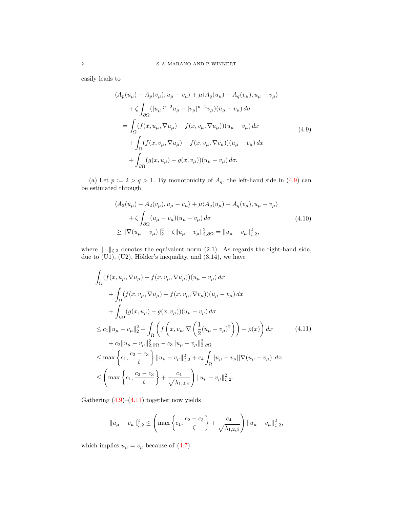easily leads to

<span id="page-1-0"></span>
$$
\langle A_p(u_\mu) - A_p(v_\mu), u_\mu - v_\mu \rangle + \mu \langle A_q(u_\mu) - A_q(v_\mu), u_\mu - v_\mu \rangle
$$
  
+  $\zeta \int_{\partial \Omega} (|u_\mu|^{p-2} u_\mu - |v_\mu|^{p-2} v_\mu) (u_\mu - v_\mu) d\sigma$   
=  $\int_{\Omega} (f(x, u_\mu, \nabla u_\mu) - f(x, v_\mu, \nabla u_\mu)) (u_\mu - v_\mu) dx$   
+  $\int_{\Omega} (f(x, v_\mu, \nabla u_\mu) - f(x, v_\mu, \nabla v_\mu)) (u_\mu - v_\mu) dx$   
+  $\int_{\partial \Omega} (g(x, u_\mu) - g(x, v_\mu)) (u_\mu - v_\mu) d\sigma.$  (4.9)

(a) Let  $p := 2 > q > 1$ . By monotonicity of  $A_q$ , the left-hand side in [\(4.9\)](#page-1-0) can be estimated through

$$
\langle A_2(u_\mu) - A_2(v_\mu), u_\mu - v_\mu \rangle + \mu \langle A_q(u_\mu) - A_q(v_\mu), u_\mu - v_\mu \rangle + \zeta \int_{\partial\Omega} (u_\mu - v_\mu)(u_\mu - v_\mu) d\sigma \geq \|\nabla (u_\mu - v_\mu)\|_2^2 + \zeta \|u_\mu - v_\mu\|_{2,\partial\Omega}^2 = \|u_\mu - v_\mu\|_{\zeta,2}^2,
$$
\n(4.10)

where  $\|\cdot\|_{\zeta,2}$  denotes the equivalent norm (2.1). As regards the right-hand side, due to  $(01)$ ,  $(02)$ , Hölder's inequality, and  $(3.14)$ , we have

$$
\int_{\Omega} (f(x, u_{\mu}, \nabla u_{\mu}) - f(x, v_{\mu}, \nabla u_{\mu})) (u_{\mu} - v_{\mu}) dx \n+ \int_{\Omega} (f(x, v_{\mu}, \nabla u_{\mu}) - f(x, v_{\mu}, \nabla v_{\mu})) (u_{\mu} - v_{\mu}) dx \n+ \int_{\partial \Omega} (g(x, u_{\mu}) - g(x, v_{\mu})) (u_{\mu} - v_{\mu}) d\sigma \n\leq c_1 \|u_{\mu} - v_{\mu}\|_2^2 + \int_{\Omega} \left( f\left(x, v_{\mu}, \nabla \left(\frac{1}{2}(u_{\mu} - v_{\mu})^2\right)\right) - \rho(x) \right) dx \qquad (4.11) \n+ c_2 \|u_{\mu} - v_{\mu}\|_{2, \partial \Omega}^2 - c_3 \|u_{\mu} - v_{\mu}\|_{2, \partial \Omega}^2 \n\leq \max \left\{ c_1, \frac{c_2 - c_3}{\zeta} \right\} \|u_{\mu} - v_{\mu}\|_{\zeta, 2}^2 + c_4 \int_{\Omega} |u_{\mu} - v_{\mu}|| \nabla (u_{\mu} - v_{\mu})| dx \n\leq \left( \max \left\{ c_1, \frac{c_2 - c_3}{\zeta} \right\} + \frac{c_4}{\sqrt{\lambda_{1, 2, \beta}}} \right) \|u_{\mu} - v_{\mu}\|_{\zeta, 2}^2.
$$

Gathering  $(4.9)$ – $(4.11)$  together now yields

<span id="page-1-1"></span>
$$
||u_{\mu} - v_{\mu}||_{\zeta,2}^2 \le \left( \max \left\{ c_1, \frac{c_2 - c_3}{\zeta} \right\} + \frac{c_4}{\sqrt{\lambda_{1,2,\beta}}} \right) ||u_{\mu} - v_{\mu}||_{\zeta,2}^2,
$$

which implies  $u_{\mu} = v_{\mu}$  because of [\(4.7\)](#page-0-0).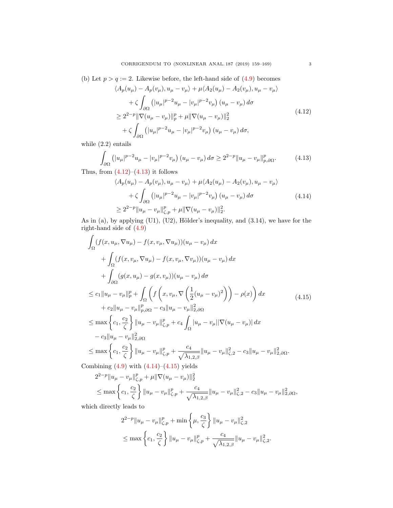(b) Let  $p > q := 2$ . Likewise before, the left-hand side of  $(4.9)$  becomes

<span id="page-2-0"></span>
$$
\langle A_p(u_\mu) - A_p(v_\mu), u_\mu - v_\mu \rangle + \mu \langle A_2(u_\mu) - A_2(v_\mu), u_\mu - v_\mu \rangle + \zeta \int_{\partial\Omega} (|u_\mu|^{p-2} u_\mu - |v_\mu|^{p-2} v_\mu) (u_\mu - v_\mu) d\sigma \ge 2^{2-p} \|\nabla (u_\mu - v_\mu)\|_p^p + \mu \|\nabla (u_\mu - v_\mu)\|_2^2 + \zeta \int_{\partial\Omega} (|u_\mu|^{p-2} u_\mu - |v_\mu|^{p-2} v_\mu) (u_\mu - v_\mu) d\sigma,
$$
\n(4.12)

while (2.2) entails

$$
\int_{\partial\Omega} \left( |u_{\mu}|^{p-2} u_{\mu} - |v_{\mu}|^{p-2} v_{\mu} \right) (u_{\mu} - v_{\mu}) d\sigma \ge 2^{2-p} \|u_{\mu} - v_{\mu}\|_{p,\partial\Omega}^p. \tag{4.13}
$$

Thus, from  $(4.12)$ – $(4.13)$  it follows

<span id="page-2-2"></span><span id="page-2-1"></span>
$$
\langle A_p(u_\mu) - A_p(v_\mu), u_\mu - v_\mu \rangle + \mu \langle A_2(u_\mu) - A_2(v_\mu), u_\mu - v_\mu \rangle + \zeta \int_{\partial \Omega} (|u_\mu|^{p-2} u_\mu - |v_\mu|^{p-2} v_\mu) (u_\mu - v_\mu) d\sigma \ge 2^{2-p} \|u_\mu - v_\mu\|_{\zeta, p}^p + \mu \|\nabla (u_\mu - v_\mu)\|_2^2.
$$
 (4.14)

As in (a), by applying  $(U1)$ ,  $(U2)$ , Hölder's inequality, and  $(3.14)$ , we have for the right-hand side of [\(4.9\)](#page-1-0)

$$
\int_{\Omega} (f(x, u_{\mu}, \nabla u_{\mu}) - f(x, v_{\mu}, \nabla u_{\mu})) (u_{\mu} - v_{\mu}) dx \n+ \int_{\Omega} (f(x, v_{\mu}, \nabla u_{\mu}) - f(x, v_{\mu}, \nabla v_{\mu})) (u_{\mu} - v_{\mu}) dx \n+ \int_{\partial \Omega} (g(x, u_{\mu}) - g(x, v_{\mu})) (u_{\mu} - v_{\mu}) d\sigma \n\leq c_1 \|u_{\mu} - v_{\mu}\|_{p}^{p} + \int_{\Omega} \left( f\left(x, v_{\mu}, \nabla \left(\frac{1}{2}(u_{\mu} - v_{\mu})^{2}\right)\right) - \rho(x) \right) dx \n+ c_2 \|u_{\mu} - v_{\mu}\|_{p,\partial\Omega}^{p} - c_3 \|u_{\mu} - v_{\mu}\|_{2,\partial\Omega}^{2} \n\leq \max \left\{ c_1, \frac{c_2}{\zeta} \right\} \|u_{\mu} - v_{\mu}\|_{\zeta,p}^{p} + c_4 \int_{\Omega} |u_{\mu} - v_{\mu}||\nabla(u_{\mu} - v_{\mu})| dx \n- c_3 \|u_{\mu} - v_{\mu}\|_{2,\partial\Omega}^{2} \n\leq \max \left\{ c_1, \frac{c_2}{\zeta} \right\} \|u_{\mu} - v_{\mu}\|_{\zeta,p}^{p} + \frac{c_4}{\sqrt{\lambda_{1,2,\beta}}} \|u_{\mu} - v_{\mu}\|_{\zeta,2}^{2} - c_3 \|u_{\mu} - v_{\mu}\|_{2,\partial\Omega}^{2}.
$$
\n(4.15)

Combining  $(4.9)$  with  $(4.14)$ – $(4.15)$  yields

$$
2^{2-p} \|u_{\mu} - v_{\mu}\|_{\zeta,p}^p + \mu \|\nabla(u_{\mu} - v_{\mu})\|_2^2
$$
  
\n
$$
\leq \max \left\{c_1, \frac{c_2}{\zeta}\right\} \|u_{\mu} - v_{\mu}\|_{\zeta,p}^p + \frac{c_4}{\sqrt{\lambda_{1,2,\beta}}}\|u_{\mu} - v_{\mu}\|_{\zeta,2}^2 - c_3\|u_{\mu} - v_{\mu}\|_{2,\partial\Omega}^2,
$$

which directly leads to

<span id="page-2-3"></span>
$$
2^{2-p} \|u_{\mu} - v_{\mu}\|_{\zeta,p}^p + \min \left\{ \mu, \frac{c_3}{\zeta} \right\} \|u_{\mu} - v_{\mu}\|_{\zeta,2}^2
$$
  

$$
\leq \max \left\{ c_1, \frac{c_2}{\zeta} \right\} \|u_{\mu} - v_{\mu}\|_{\zeta,p}^p + \frac{c_4}{\sqrt{\lambda_{1,2,\beta}}} \|u_{\mu} - v_{\mu}\|_{\zeta,2}^2.
$$